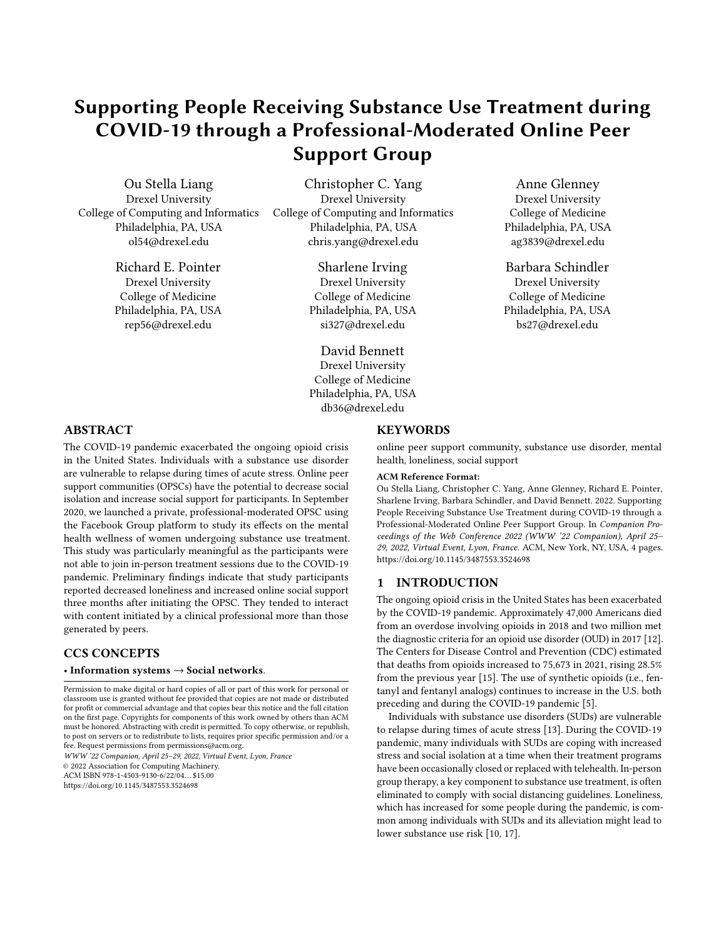# Supporting People Receiving Substance Use Treatment during COVID-19 through a Professional-Moderated Online Peer Support Group

Ou Stella Liang Drexel University College of Computing and Informatics Philadelphia, PA, USA ol54@drexel.edu

> Richard E. Pointer Drexel University College of Medicine Philadelphia, PA, USA rep56@drexel.edu

Christopher C. Yang Drexel University College of Computing and Informatics Philadelphia, PA, USA chris.yang@drexel.edu

> Sharlene Irving Drexel University College of Medicine Philadelphia, PA, USA si327@drexel.edu

> David Bennett Drexel University College of Medicine Philadelphia, PA, USA

db36@drexel.edu

Anne Glenney Drexel University College of Medicine Philadelphia, PA, USA ag3839@drexel.edu

Barbara Schindler Drexel University College of Medicine Philadelphia, PA, USA bs27@drexel.edu

# ABSTRACT

The COVID-19 pandemic exacerbated the ongoing opioid crisis in the United States. Individuals with a substance use disorder are vulnerable to relapse during times of acute stress. Online peer support communities (OPSCs) have the potential to decrease social isolation and increase social support for participants. In September 2020, we launched a private, professional-moderated OPSC using the Facebook Group platform to study its effects on the mental health wellness of women undergoing substance use treatment. This study was particularly meaningful as the participants were not able to join in-person treatment sessions due to the COVID-19 pandemic. Preliminary findings indicate that study participants reported decreased loneliness and increased online social support three months after initiating the OPSC. They tended to interact with content initiated by a clinical professional more than those generated by peers.

## CCS CONCEPTS

#### • Information systems  $\rightarrow$  Social networks.

Permission to make digital or hard copies of all or part of this work for personal or classroom use is granted without fee provided that copies are not made or distributed for profit or commercial advantage and that copies bear this notice and the full citation on the first page. Copyrights for components of this work owned by others than ACM must be honored. Abstracting with credit is permitted. To copy otherwise, or republish, to post on servers or to redistribute to lists, requires prior specific permission and/or a fee. Request permissions from permissions@acm.org.

WWW '22 Companion, April 25–29, 2022, Virtual Event, Lyon, France © 2022 Association for Computing Machinery.

ACM ISBN 978-1-4503-9130-6/22/04. . . \$15.00

<https://doi.org/10.1145/3487553.3524698>

## **KEYWORDS**

online peer support community, substance use disorder, mental health, loneliness, social support

#### ACM Reference Format:

Ou Stella Liang, Christopher C. Yang, Anne Glenney, Richard E. Pointer, Sharlene Irving, Barbara Schindler, and David Bennett. 2022. Supporting People Receiving Substance Use Treatment during COVID-19 through a Professional-Moderated Online Peer Support Group. In Companion Proceedings of the Web Conference 2022 (WWW '22 Companion), April 25– 29, 2022, Virtual Event, Lyon, France. ACM, New York, NY, USA, [4](#page-3-0) pages. <https://doi.org/10.1145/3487553.3524698>

### 1 INTRODUCTION

The ongoing opioid crisis in the United States has been exacerbated by the COVID-19 pandemic. Approximately 47,000 Americans died from an overdose involving opioids in 2018 and two million met the diagnostic criteria for an opioid use disorder (OUD) in 2017 [\[12\]](#page-2-0). The Centers for Disease Control and Prevention (CDC) estimated that deaths from opioids increased to 75,673 in 2021, rising 28.5% from the previous year [\[15\]](#page-3-1). The use of synthetic opioids (i.e., fentanyl and fentanyl analogs) continues to increase in the U.S. both preceding and during the COVID-19 pandemic [\[5\]](#page-2-1).

Individuals with substance use disorders (SUDs) are vulnerable to relapse during times of acute stress [\[13\]](#page-2-2). During the COVID-19 pandemic, many individuals with SUDs are coping with increased stress and social isolation at a time when their treatment programs have been occasionally closed or replaced with telehealth. In-person group therapy, a key component to substance use treatment, is often eliminated to comply with social distancing guidelines. Loneliness, which has increased for some people during the pandemic, is common among individuals with SUDs and its alleviation might lead to lower substance use risk [\[10,](#page-2-3) [17\]](#page-3-2).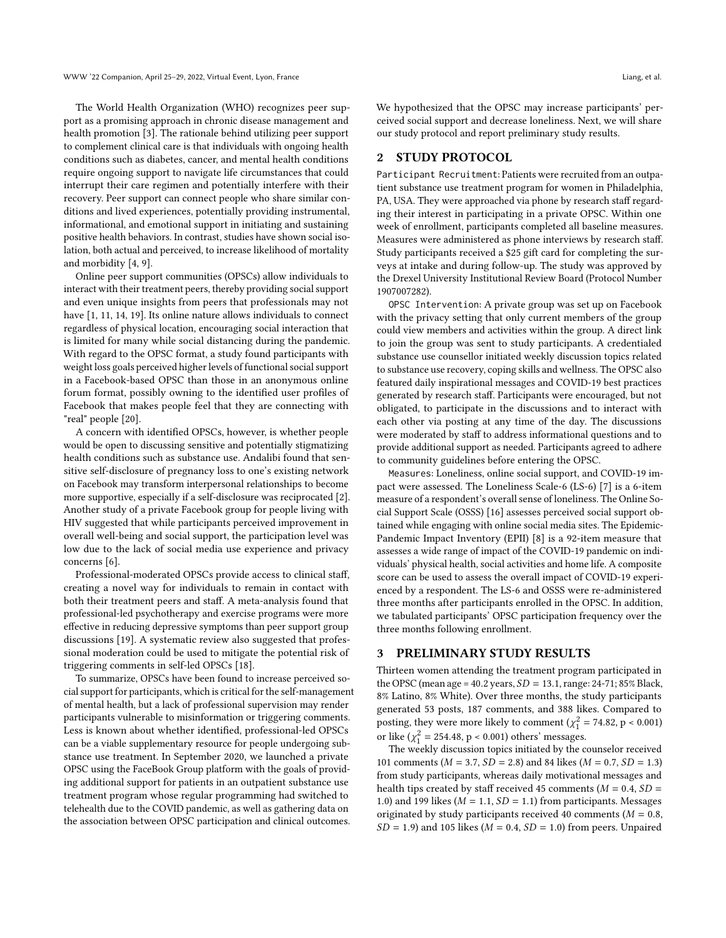The World Health Organization (WHO) recognizes peer support as a promising approach in chronic disease management and health promotion [\[3\]](#page-2-4). The rationale behind utilizing peer support to complement clinical care is that individuals with ongoing health conditions such as diabetes, cancer, and mental health conditions require ongoing support to navigate life circumstances that could interrupt their care regimen and potentially interfere with their recovery. Peer support can connect people who share similar conditions and lived experiences, potentially providing instrumental, informational, and emotional support in initiating and sustaining positive health behaviors. In contrast, studies have shown social isolation, both actual and perceived, to increase likelihood of mortality and morbidity [\[4,](#page-2-5) [9\]](#page-2-6).

Online peer support communities (OPSCs) allow individuals to interact with their treatment peers, thereby providing social support and even unique insights from peers that professionals may not have [\[1,](#page-2-7) [11,](#page-2-8) [14,](#page-3-3) [19\]](#page-3-4). Its online nature allows individuals to connect regardless of physical location, encouraging social interaction that is limited for many while social distancing during the pandemic. With regard to the OPSC format, a study found participants with weight loss goals perceived higher levels of functional social support in a Facebook-based OPSC than those in an anonymous online forum format, possibly owning to the identified user profiles of Facebook that makes people feel that they are connecting with "real" people [\[20\]](#page-3-5).

A concern with identified OPSCs, however, is whether people would be open to discussing sensitive and potentially stigmatizing health conditions such as substance use. Andalibi found that sensitive self-disclosure of pregnancy loss to one's existing network on Facebook may transform interpersonal relationships to become more supportive, especially if a self-disclosure was reciprocated [\[2\]](#page-2-9). Another study of a private Facebook group for people living with HIV suggested that while participants perceived improvement in overall well-being and social support, the participation level was low due to the lack of social media use experience and privacy concerns [\[6\]](#page-2-10).

Professional-moderated OPSCs provide access to clinical staff, creating a novel way for individuals to remain in contact with both their treatment peers and staff. A meta-analysis found that professional-led psychotherapy and exercise programs were more effective in reducing depressive symptoms than peer support group discussions [\[19\]](#page-3-4). A systematic review also suggested that professional moderation could be used to mitigate the potential risk of triggering comments in self-led OPSCs [\[18\]](#page-3-6).

To summarize, OPSCs have been found to increase perceived social support for participants, which is critical for the self-management of mental health, but a lack of professional supervision may render participants vulnerable to misinformation or triggering comments. Less is known about whether identified, professional-led OPSCs can be a viable supplementary resource for people undergoing substance use treatment. In September 2020, we launched a private OPSC using the FaceBook Group platform with the goals of providing additional support for patients in an outpatient substance use treatment program whose regular programming had switched to telehealth due to the COVID pandemic, as well as gathering data on the association between OPSC participation and clinical outcomes.

We hypothesized that the OPSC may increase participants' perceived social support and decrease loneliness. Next, we will share our study protocol and report preliminary study results.

### 2 STUDY PROTOCOL

Participant Recruitment: Patients were recruited from an outpatient substance use treatment program for women in Philadelphia, PA, USA. They were approached via phone by research staff regarding their interest in participating in a private OPSC. Within one week of enrollment, participants completed all baseline measures. Measures were administered as phone interviews by research staff. Study participants received a \$25 gift card for completing the surveys at intake and during follow-up. The study was approved by the Drexel University Institutional Review Board (Protocol Number 1907007282).

OPSC Intervention: A private group was set up on Facebook with the privacy setting that only current members of the group could view members and activities within the group. A direct link to join the group was sent to study participants. A credentialed substance use counsellor initiated weekly discussion topics related to substance use recovery, coping skills and wellness. The OPSC also featured daily inspirational messages and COVID-19 best practices generated by research staff. Participants were encouraged, but not obligated, to participate in the discussions and to interact with each other via posting at any time of the day. The discussions were moderated by staff to address informational questions and to provide additional support as needed. Participants agreed to adhere to community guidelines before entering the OPSC.

Measures: Loneliness, online social support, and COVID-19 impact were assessed. The Loneliness Scale-6 (LS-6) [\[7\]](#page-2-11) is a 6-item measure of a respondent's overall sense of loneliness. The Online Social Support Scale (OSSS) [\[16\]](#page-3-7) assesses perceived social support obtained while engaging with online social media sites. The Epidemic-Pandemic Impact Inventory (EPII) [\[8\]](#page-2-12) is a 92-item measure that assesses a wide range of impact of the COVID-19 pandemic on individuals' physical health, social activities and home life. A composite score can be used to assess the overall impact of COVID-19 experienced by a respondent. The LS-6 and OSSS were re-administered three months after participants enrolled in the OPSC. In addition, we tabulated participants' OPSC participation frequency over the three months following enrollment.

#### 3 PRELIMINARY STUDY RESULTS

Thirteen women attending the treatment program participated in the OPSC (mean age = 40.2 years,  $SD = 13.1$ , range: 24-71; 85% Black, 8% Latino, 8% White). Over three months, the study participants generated 53 posts, 187 comments, and 388 likes. Compared to posting, they were more likely to comment ( $\chi^2$  = 74.82, p < 0.001) or like ( $\chi_1^2 = 254.48$ , p < 0.001) others' messages.

The weekly discussion topics initiated by the counselor received 101 comments ( $M = 3.7$ ,  $SD = 2.8$ ) and 84 likes ( $M = 0.7$ ,  $SD = 1.3$ ) from study participants, whereas daily motivational messages and health tips created by staff received 45 comments ( $M = 0.4$ ,  $SD =$ 1.0) and 199 likes ( $M = 1.1$ ,  $SD = 1.1$ ) from participants. Messages originated by study participants received 40 comments ( $M = 0.8$ ,  $SD = 1.9$ ) and 105 likes ( $M = 0.4$ ,  $SD = 1.0$ ) from peers. Unpaired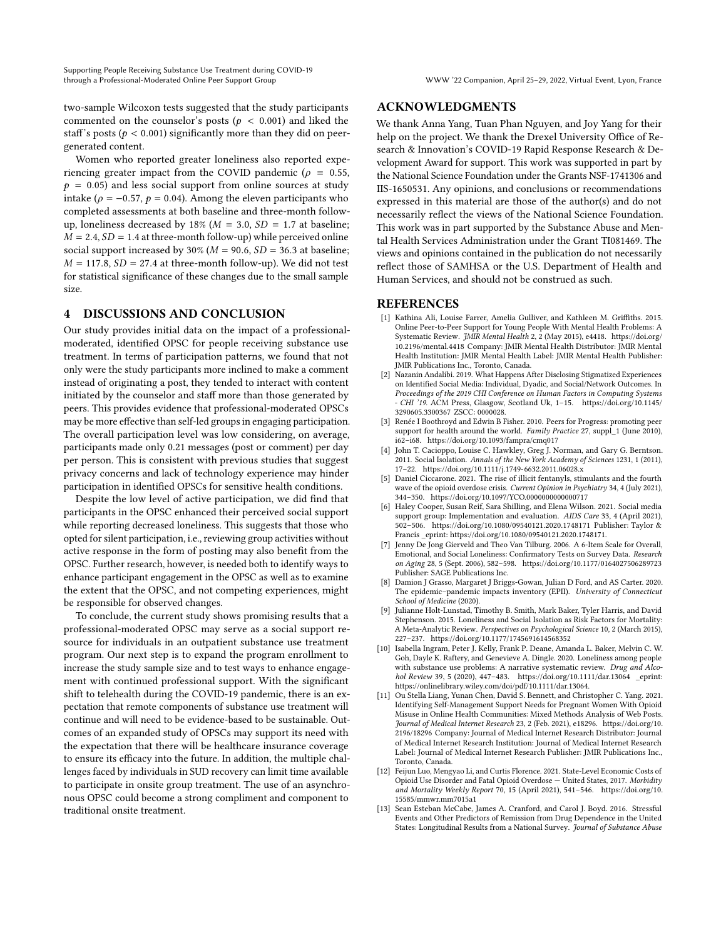two-sample Wilcoxon tests suggested that the study participants commented on the counselor's posts ( $p < 0.001$ ) and liked the staff's posts ( $p < 0.001$ ) significantly more than they did on peergenerated content.

Women who reported greater loneliness also reported experiencing greater impact from the COVID pandemic ( $\rho = 0.55$ ,  $p = 0.05$ ) and less social support from online sources at study intake ( $ρ = −0.57$ ,  $p = 0.04$ ). Among the eleven participants who completed assessments at both baseline and three-month followup, loneliness decreased by 18% ( $M = 3.0$ ,  $SD = 1.7$  at baseline;  $M = 2.4$ ,  $SD = 1.4$  at three-month follow-up) while perceived online social support increased by 30% ( $M = 90.6$ ,  $SD = 36.3$  at baseline;  $M = 117.8$ ,  $SD = 27.4$  at three-month follow-up). We did not test for statistical significance of these changes due to the small sample size.

## 4 DISCUSSIONS AND CONCLUSION

Our study provides initial data on the impact of a professionalmoderated, identified OPSC for people receiving substance use treatment. In terms of participation patterns, we found that not only were the study participants more inclined to make a comment instead of originating a post, they tended to interact with content initiated by the counselor and staff more than those generated by peers. This provides evidence that professional-moderated OPSCs may be more effective than self-led groups in engaging participation. The overall participation level was low considering, on average, participants made only 0.21 messages (post or comment) per day per person. This is consistent with previous studies that suggest privacy concerns and lack of technology experience may hinder participation in identified OPSCs for sensitive health conditions.

Despite the low level of active participation, we did find that participants in the OPSC enhanced their perceived social support while reporting decreased loneliness. This suggests that those who opted for silent participation, i.e., reviewing group activities without active response in the form of posting may also benefit from the OPSC. Further research, however, is needed both to identify ways to enhance participant engagement in the OPSC as well as to examine the extent that the OPSC, and not competing experiences, might be responsible for observed changes.

To conclude, the current study shows promising results that a professional-moderated OPSC may serve as a social support resource for individuals in an outpatient substance use treatment program. Our next step is to expand the program enrollment to increase the study sample size and to test ways to enhance engagement with continued professional support. With the significant shift to telehealth during the COVID-19 pandemic, there is an expectation that remote components of substance use treatment will continue and will need to be evidence-based to be sustainable. Outcomes of an expanded study of OPSCs may support its need with the expectation that there will be healthcare insurance coverage to ensure its efficacy into the future. In addition, the multiple challenges faced by individuals in SUD recovery can limit time available to participate in onsite group treatment. The use of an asynchronous OPSC could become a strong compliment and component to traditional onsite treatment.

## ACKNOWLEDGMENTS

We thank Anna Yang, Tuan Phan Nguyen, and Joy Yang for their help on the project. We thank the Drexel University Office of Research & Innovation's COVID-19 Rapid Response Research & Development Award for support. This work was supported in part by the National Science Foundation under the Grants NSF-1741306 and IIS-1650531. Any opinions, and conclusions or recommendations expressed in this material are those of the author(s) and do not necessarily reflect the views of the National Science Foundation. This work was in part supported by the Substance Abuse and Mental Health Services Administration under the Grant TI081469. The views and opinions contained in the publication do not necessarily reflect those of SAMHSA or the U.S. Department of Health and Human Services, and should not be construed as such.

## REFERENCES

- <span id="page-2-7"></span>[1] Kathina Ali, Louise Farrer, Amelia Gulliver, and Kathleen M. Griffiths. 2015. Online Peer-to-Peer Support for Young People With Mental Health Problems: A Systematic Review. JMIR Mental Health 2, 2 (May 2015), e4418. [https://doi.org/](https://doi.org/10.2196/mental.4418) [10.2196/mental.4418](https://doi.org/10.2196/mental.4418) Company: JMIR Mental Health Distributor: JMIR Mental Health Institution: JMIR Mental Health Label: JMIR Mental Health Publisher: JMIR Publications Inc., Toronto, Canada.
- <span id="page-2-9"></span>[2] Nazanin Andalibi. 2019. What Happens After Disclosing Stigmatized Experiences on Identified Social Media: Individual, Dyadic, and Social/Network Outcomes. In Proceedings of the 2019 CHI Conference on Human Factors in Computing Systems - CHI '19. ACM Press, Glasgow, Scotland Uk, 1–15. [https://doi.org/10.1145/](https://doi.org/10.1145/3290605.3300367) [3290605.3300367](https://doi.org/10.1145/3290605.3300367) ZSCC: 0000028.
- <span id="page-2-4"></span>[3] Renée I Boothroyd and Edwin B Fisher. 2010. Peers for Progress: promoting peer support for health around the world. Family Practice 27, suppl\_1 (June 2010), i62–i68.<https://doi.org/10.1093/fampra/cmq017>
- <span id="page-2-5"></span>John T. Cacioppo, Louise C. Hawkley, Greg J. Norman, and Gary G. Berntson. 2011. Social Isolation. Annals of the New York Academy of Sciences 1231, 1 (2011), 17–22.<https://doi.org/10.1111/j.1749-6632.2011.06028.x>
- <span id="page-2-1"></span>[5] Daniel Ciccarone. 2021. The rise of illicit fentanyls, stimulants and the fourth wave of the opioid overdose crisis. Current Opinion in Psychiatry 34, 4 (July 2021), 344–350.<https://doi.org/10.1097/YCO.0000000000000717>
- <span id="page-2-10"></span>[6] Haley Cooper, Susan Reif, Sara Shilling, and Elena Wilson. 2021. Social media support group: Implementation and evaluation. AIDS Care 33, 4 (April 2021), 502–506.<https://doi.org/10.1080/09540121.2020.1748171> Publisher: Taylor & Francis \_eprint: https://doi.org/10.1080/09540121.2020.1748171.
- <span id="page-2-11"></span>[7] Jenny De Jong Gierveld and Theo Van Tilburg. 2006. A 6-Item Scale for Overall, Emotional, and Social Loneliness: Confirmatory Tests on Survey Data. Research on Aging 28, 5 (Sept. 2006), 582–598.<https://doi.org/10.1177/0164027506289723> Publisher: SAGE Publications Inc.
- <span id="page-2-12"></span>[8] Damion J Grasso, Margaret J Briggs-Gowan, Julian D Ford, and AS Carter. 2020. The epidemic–pandemic impacts inventory (EPII). University of Connecticut School of Medicine (2020).
- <span id="page-2-6"></span>Julianne Holt-Lunstad, Timothy B. Smith, Mark Baker, Tyler Harris, and David Stephenson. 2015. Loneliness and Social Isolation as Risk Factors for Mortality: A Meta-Analytic Review. Perspectives on Psychological Science 10, 2 (March 2015), 227–237.<https://doi.org/10.1177/1745691614568352>
- <span id="page-2-3"></span>[10] Isabella Ingram, Peter J. Kelly, Frank P. Deane, Amanda L. Baker, Melvin C. W. Goh, Dayle K. Raftery, and Genevieve A. Dingle. 2020. Loneliness among people with substance use problems: A narrative systematic review. Drug and Alcohol Review 39, 5 (2020), 447–483.<https://doi.org/10.1111/dar.13064> \_eprint: https://onlinelibrary.wiley.com/doi/pdf/10.1111/dar.13064.
- <span id="page-2-8"></span>[11] Ou Stella Liang, Yunan Chen, David S. Bennett, and Christopher C. Yang. 2021. Identifying Self-Management Support Needs for Pregnant Women With Opioid Misuse in Online Health Communities: Mixed Methods Analysis of Web Posts. Journal of Medical Internet Research 23, 2 (Feb. 2021), e18296. [https://doi.org/10.](https://doi.org/10.2196/18296) [2196/18296](https://doi.org/10.2196/18296) Company: Journal of Medical Internet Research Distributor: Journal of Medical Internet Research Institution: Journal of Medical Internet Research Label: Journal of Medical Internet Research Publisher: JMIR Publications Inc., Toronto, Canada.
- <span id="page-2-0"></span>[12] Feijun Luo, Mengyao Li, and Curtis Florence. 2021. State-Level Economic Costs of Opioid Use Disorder and Fatal Opioid Overdose — United States, 2017. Morbidity and Mortality Weekly Report 70, 15 (April 2021), 541–546. [https://doi.org/10.](https://doi.org/10.15585/mmwr.mm7015a1) [15585/mmwr.mm7015a1](https://doi.org/10.15585/mmwr.mm7015a1)
- <span id="page-2-2"></span>[13] Sean Esteban McCabe, James A. Cranford, and Carol J. Boyd. 2016. Stressful Events and Other Predictors of Remission from Drug Dependence in the United States: Longitudinal Results from a National Survey. Journal of Substance Abuse